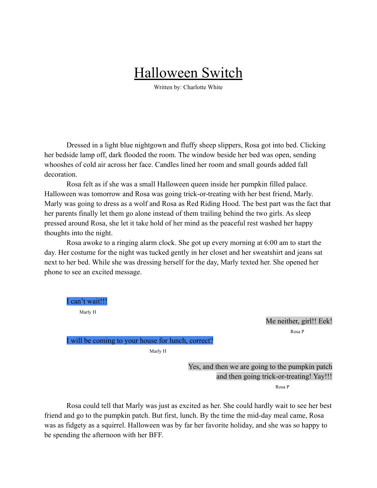## Halloween Switch

Written by: Charlotte White

Dressed in a light blue nightgown and fluffy sheep slippers, Rosa got into bed. Clicking her bedside lamp off, dark flooded the room. The window beside her bed was open, sending whooshes of cold air across her face. Candles lined her room and small gourds added fall decoration.

Rosa felt as if she was a small Halloween queen inside her pumpkin filled palace. Halloween was tomorrow and Rosa was going trick-or-treating with her best friend, Marly. Marly was going to dress as a wolf and Rosa as Red Riding Hood. The best part was the fact that her parents finally let them go alone instead of them trailing behind the two girls. As sleep pressed around Rosa, she let it take hold of her mind as the peaceful rest washed her happy thoughts into the night.

Rosa awoke to a ringing alarm clock. She got up every morning at 6:00 am to start the day. Her costume for the night was tucked gently in her closet and her sweatshirt and jeans sat next to her bed. While she was dressing herself for the day, Marly texted her. She opened her phone to see an excited message.

I can't wait!!! Marly H Me neither, girl!! Eek! Rosa P I will be coming to your house for lunch, correct?

Marly H

Yes, and then we are going to the pumpkin patch and then going trick-or-treating! Yay!!! Rosa P

Rosa could tell that Marly was just as excited as her. She could hardly wait to see her best friend and go to the pumpkin patch. But first, lunch. By the time the mid-day meal came, Rosa was as fidgety as a squirrel. Halloween was by far her favorite holiday, and she was so happy to be spending the afternoon with her BFF.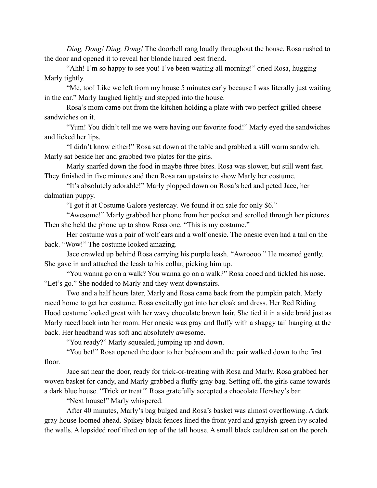*Ding, Dong! Ding, Dong!* The doorbell rang loudly throughout the house. Rosa rushed to the door and opened it to reveal her blonde haired best friend.

"Ahh! I'm so happy to see you! I've been waiting all morning!" cried Rosa, hugging Marly tightly.

"Me, too! Like we left from my house 5 minutes early because I was literally just waiting in the car." Marly laughed lightly and stepped into the house.

Rosa's mom came out from the kitchen holding a plate with two perfect grilled cheese sandwiches on it.

"Yum! You didn't tell me we were having our favorite food!" Marly eyed the sandwiches and licked her lips.

"I didn't know either!" Rosa sat down at the table and grabbed a still warm sandwich. Marly sat beside her and grabbed two plates for the girls.

Marly snarfed down the food in maybe three bites. Rosa was slower, but still went fast. They finished in five minutes and then Rosa ran upstairs to show Marly her costume.

"It's absolutely adorable!" Marly plopped down on Rosa's bed and peted Jace, her dalmatian puppy.

"I got it at Costume Galore yesterday. We found it on sale for only \$6."

"Awesome!" Marly grabbed her phone from her pocket and scrolled through her pictures. Then she held the phone up to show Rosa one. "This is my costume."

Her costume was a pair of wolf ears and a wolf onesie. The onesie even had a tail on the back. "Wow!" The costume looked amazing.

Jace crawled up behind Rosa carrying his purple leash. "Awroooo." He moaned gently. She gave in and attached the leash to his collar, picking him up.

"You wanna go on a walk? You wanna go on a walk?" Rosa cooed and tickled his nose. "Let's go." She nodded to Marly and they went downstairs.

Two and a half hours later, Marly and Rosa came back from the pumpkin patch. Marly raced home to get her costume. Rosa excitedly got into her cloak and dress. Her Red Riding Hood costume looked great with her wavy chocolate brown hair. She tied it in a side braid just as Marly raced back into her room. Her onesie was gray and fluffy with a shaggy tail hanging at the back. Her headband was soft and absolutely awesome.

"You ready?" Marly squealed, jumping up and down.

"You bet!" Rosa opened the door to her bedroom and the pair walked down to the first floor.

Jace sat near the door, ready for trick-or-treating with Rosa and Marly. Rosa grabbed her woven basket for candy, and Marly grabbed a fluffy gray bag. Setting off, the girls came towards a dark blue house. "Trick or treat!" Rosa gratefully accepted a chocolate Hershey's bar.

"Next house!" Marly whispered.

After 40 minutes, Marly's bag bulged and Rosa's basket was almost overflowing. A dark gray house loomed ahead. Spikey black fences lined the front yard and grayish-green ivy scaled the walls. A lopsided roof tilted on top of the tall house. A small black cauldron sat on the porch.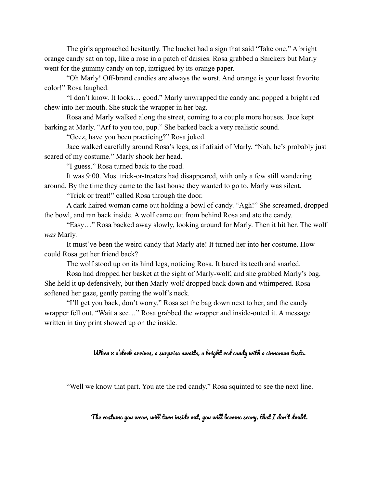The girls approached hesitantly. The bucket had a sign that said "Take one." A bright orange candy sat on top, like a rose in a patch of daisies. Rosa grabbed a Snickers but Marly went for the gummy candy on top, intrigued by its orange paper.

"Oh Marly! Off-brand candies are always the worst. And orange is your least favorite color!" Rosa laughed.

"I don't know. It looks… good." Marly unwrapped the candy and popped a bright red chew into her mouth. She stuck the wrapper in her bag.

Rosa and Marly walked along the street, coming to a couple more houses. Jace kept barking at Marly. "Arf to you too, pup." She barked back a very realistic sound.

"Geez, have you been practicing?" Rosa joked.

Jace walked carefully around Rosa's legs, as if afraid of Marly. "Nah, he's probably just scared of my costume." Marly shook her head.

"I guess." Rosa turned back to the road.

It was 9:00. Most trick-or-treaters had disappeared, with only a few still wandering around. By the time they came to the last house they wanted to go to, Marly was silent.

"Trick or treat!" called Rosa through the door.

A dark haired woman came out holding a bowl of candy. "Agh!" She screamed, dropped the bowl, and ran back inside. A wolf came out from behind Rosa and ate the candy.

"Easy…" Rosa backed away slowly, looking around for Marly. Then it hit her. The wolf *was* Marly.

It must've been the weird candy that Marly ate! It turned her into her costume. How could Rosa get her friend back?

The wolf stood up on its hind legs, noticing Rosa. It bared its teeth and snarled.

Rosa had dropped her basket at the sight of Marly-wolf, and she grabbed Marly's bag. She held it up defensively, but then Marly-wolf dropped back down and whimpered. Rosa softened her gaze, gently patting the wolf's neck.

"I'll get you back, don't worry." Rosa set the bag down next to her, and the candy wrapper fell out. "Wait a sec…" Rosa grabbed the wrapper and inside-outed it. A message written in tiny print showed up on the inside.

## When 8 o'clock arrives, a surprise awaits, a bright red candy with a cinnamon taste.

"Well we know that part. You ate the red candy." Rosa squinted to see the next line.

The costume you wear, will turn inside out, you will become scary, that I don't doubt.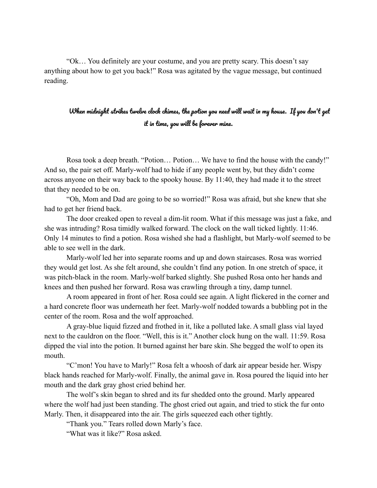"Ok… You definitely are your costume, and you are pretty scary. This doesn't say anything about how to get you back!" Rosa was agitated by the vague message, but continued reading.

## When midnight strikes twelve clock chimes, the potion you need will wait in my house. If you don't get it in time, you will be forever mine.

Rosa took a deep breath. "Potion… Potion… We have to find the house with the candy!" And so, the pair set off. Marly-wolf had to hide if any people went by, but they didn't come across anyone on their way back to the spooky house. By 11:40, they had made it to the street that they needed to be on.

"Oh, Mom and Dad are going to be so worried!" Rosa was afraid, but she knew that she had to get her friend back.

The door creaked open to reveal a dim-lit room. What if this message was just a fake, and she was intruding? Rosa timidly walked forward. The clock on the wall ticked lightly. 11:46. Only 14 minutes to find a potion. Rosa wished she had a flashlight, but Marly-wolf seemed to be able to see well in the dark.

Marly-wolf led her into separate rooms and up and down staircases. Rosa was worried they would get lost. As she felt around, she couldn't find any potion. In one stretch of space, it was pitch-black in the room. Marly-wolf barked slightly. She pushed Rosa onto her hands and knees and then pushed her forward. Rosa was crawling through a tiny, damp tunnel.

A room appeared in front of her. Rosa could see again. A light flickered in the corner and a hard concrete floor was underneath her feet. Marly-wolf nodded towards a bubbling pot in the center of the room. Rosa and the wolf approached.

A gray-blue liquid fizzed and frothed in it, like a polluted lake. A small glass vial layed next to the cauldron on the floor. "Well, this is it." Another clock hung on the wall. 11:59. Rosa dipped the vial into the potion. It burned against her bare skin. She begged the wolf to open its mouth.

"C'mon! You have to Marly!" Rosa felt a whoosh of dark air appear beside her. Wispy black hands reached for Marly-wolf. Finally, the animal gave in. Rosa poured the liquid into her mouth and the dark gray ghost cried behind her.

The wolf's skin began to shred and its fur shedded onto the ground. Marly appeared where the wolf had just been standing. The ghost cried out again, and tried to stick the fur onto Marly. Then, it disappeared into the air. The girls squeezed each other tightly.

"Thank you." Tears rolled down Marly's face.

"What was it like?" Rosa asked.